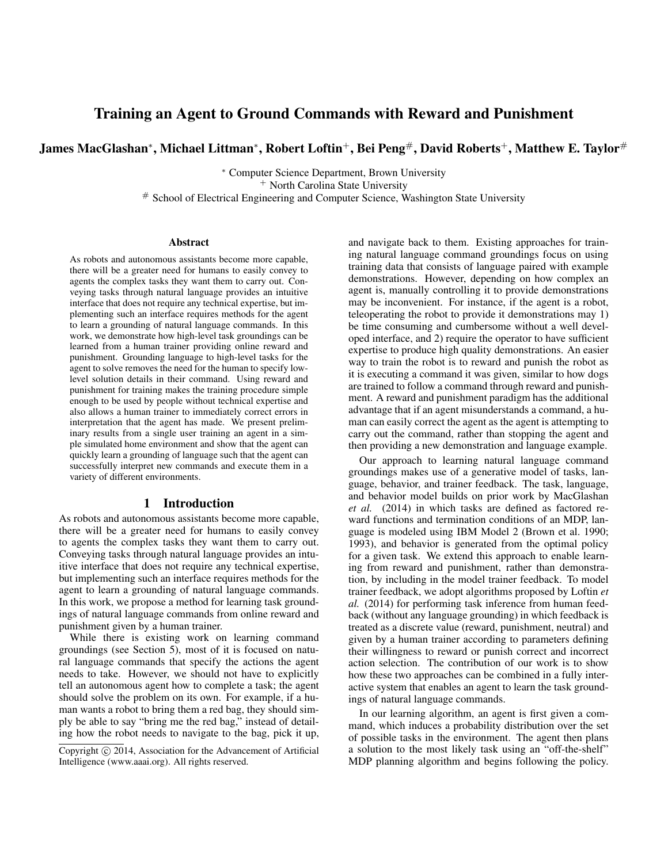# Training an Agent to Ground Commands with Reward and Punishment

James MacGlashan\*, Michael Littman\*, Robert Loftin<sup>+</sup>, Bei Peng#, David Roberts<sup>+</sup>, Matthew E. Taylor<sup>#</sup>

<sup>∗</sup> Computer Science Department, Brown University <sup>+</sup> North Carolina State University # School of Electrical Engineering and Computer Science, Washington State University

#### **Abstract**

As robots and autonomous assistants become more capable, there will be a greater need for humans to easily convey to agents the complex tasks they want them to carry out. Conveying tasks through natural language provides an intuitive interface that does not require any technical expertise, but implementing such an interface requires methods for the agent to learn a grounding of natural language commands. In this work, we demonstrate how high-level task groundings can be learned from a human trainer providing online reward and punishment. Grounding language to high-level tasks for the agent to solve removes the need for the human to specify lowlevel solution details in their command. Using reward and punishment for training makes the training procedure simple enough to be used by people without technical expertise and also allows a human trainer to immediately correct errors in interpretation that the agent has made. We present preliminary results from a single user training an agent in a simple simulated home environment and show that the agent can quickly learn a grounding of language such that the agent can successfully interpret new commands and execute them in a variety of different environments.

### 1 Introduction

As robots and autonomous assistants become more capable, there will be a greater need for humans to easily convey to agents the complex tasks they want them to carry out. Conveying tasks through natural language provides an intuitive interface that does not require any technical expertise, but implementing such an interface requires methods for the agent to learn a grounding of natural language commands. In this work, we propose a method for learning task groundings of natural language commands from online reward and punishment given by a human trainer.

While there is existing work on learning command groundings (see Section 5), most of it is focused on natural language commands that specify the actions the agent needs to take. However, we should not have to explicitly tell an autonomous agent how to complete a task; the agent should solve the problem on its own. For example, if a human wants a robot to bring them a red bag, they should simply be able to say "bring me the red bag," instead of detailing how the robot needs to navigate to the bag, pick it up,

and navigate back to them. Existing approaches for training natural language command groundings focus on using training data that consists of language paired with example demonstrations. However, depending on how complex an agent is, manually controlling it to provide demonstrations may be inconvenient. For instance, if the agent is a robot, teleoperating the robot to provide it demonstrations may 1) be time consuming and cumbersome without a well developed interface, and 2) require the operator to have sufficient expertise to produce high quality demonstrations. An easier way to train the robot is to reward and punish the robot as it is executing a command it was given, similar to how dogs are trained to follow a command through reward and punishment. A reward and punishment paradigm has the additional advantage that if an agent misunderstands a command, a human can easily correct the agent as the agent is attempting to carry out the command, rather than stopping the agent and then providing a new demonstration and language example.

Our approach to learning natural language command groundings makes use of a generative model of tasks, language, behavior, and trainer feedback. The task, language, and behavior model builds on prior work by MacGlashan *et al.* (2014) in which tasks are defined as factored reward functions and termination conditions of an MDP, language is modeled using IBM Model 2 (Brown et al. 1990; 1993), and behavior is generated from the optimal policy for a given task. We extend this approach to enable learning from reward and punishment, rather than demonstration, by including in the model trainer feedback. To model trainer feedback, we adopt algorithms proposed by Loftin *et al.* (2014) for performing task inference from human feedback (without any language grounding) in which feedback is treated as a discrete value (reward, punishment, neutral) and given by a human trainer according to parameters defining their willingness to reward or punish correct and incorrect action selection. The contribution of our work is to show how these two approaches can be combined in a fully interactive system that enables an agent to learn the task groundings of natural language commands.

In our learning algorithm, an agent is first given a command, which induces a probability distribution over the set of possible tasks in the environment. The agent then plans a solution to the most likely task using an "off-the-shelf" MDP planning algorithm and begins following the policy.

Copyright (c) 2014, Association for the Advancement of Artificial Intelligence (www.aaai.org). All rights reserved.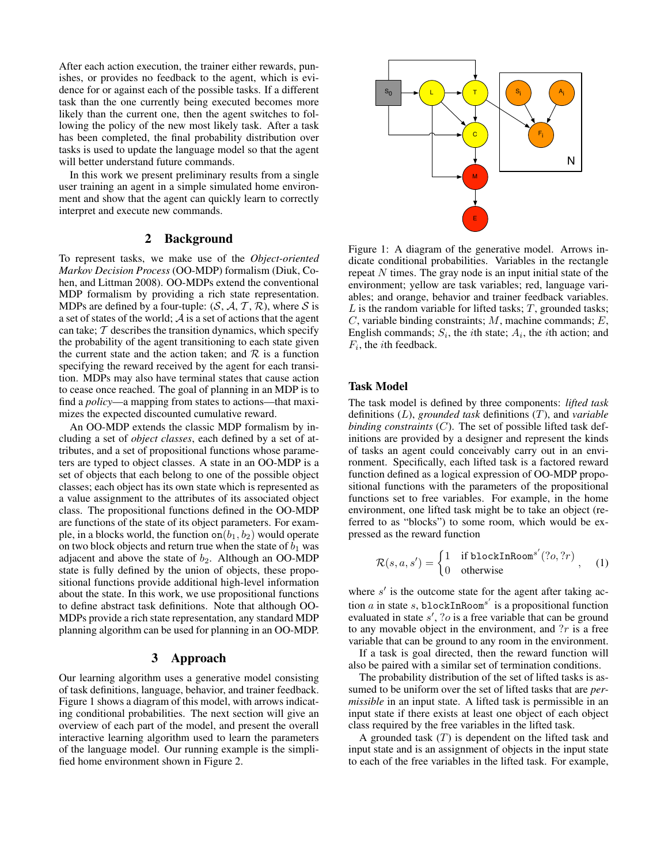After each action execution, the trainer either rewards, punishes, or provides no feedback to the agent, which is evidence for or against each of the possible tasks. If a different task than the one currently being executed becomes more likely than the current one, then the agent switches to following the policy of the new most likely task. After a task has been completed, the final probability distribution over tasks is used to update the language model so that the agent will better understand future commands.

In this work we present preliminary results from a single user training an agent in a simple simulated home environment and show that the agent can quickly learn to correctly interpret and execute new commands.

# 2 Background

To represent tasks, we make use of the *Object-oriented Markov Decision Process* (OO-MDP) formalism (Diuk, Cohen, and Littman 2008). OO-MDPs extend the conventional MDP formalism by providing a rich state representation. MDPs are defined by a four-tuple:  $(S, \mathcal{A}, \mathcal{T}, \mathcal{R})$ , where S is a set of states of the world;  $\mathcal A$  is a set of actions that the agent can take;  $T$  describes the transition dynamics, which specify the probability of the agent transitioning to each state given the current state and the action taken; and  $R$  is a function specifying the reward received by the agent for each transition. MDPs may also have terminal states that cause action to cease once reached. The goal of planning in an MDP is to find a *policy*—a mapping from states to actions—that maximizes the expected discounted cumulative reward.

An OO-MDP extends the classic MDP formalism by including a set of *object classes*, each defined by a set of attributes, and a set of propositional functions whose parameters are typed to object classes. A state in an OO-MDP is a set of objects that each belong to one of the possible object classes; each object has its own state which is represented as a value assignment to the attributes of its associated object class. The propositional functions defined in the OO-MDP are functions of the state of its object parameters. For example, in a blocks world, the function on $(b_1, b_2)$  would operate on two block objects and return true when the state of  $b_1$  was adjacent and above the state of  $b_2$ . Although an OO-MDP state is fully defined by the union of objects, these propositional functions provide additional high-level information about the state. In this work, we use propositional functions to define abstract task definitions. Note that although OO-MDPs provide a rich state representation, any standard MDP planning algorithm can be used for planning in an OO-MDP.

# 3 Approach

Our learning algorithm uses a generative model consisting of task definitions, language, behavior, and trainer feedback. Figure 1 shows a diagram of this model, with arrows indicating conditional probabilities. The next section will give an overview of each part of the model, and present the overall interactive learning algorithm used to learn the parameters of the language model. Our running example is the simplified home environment shown in Figure 2.



Figure 1: A diagram of the generative model. Arrows indicate conditional probabilities. Variables in the rectangle repeat  $N$  times. The gray node is an input initial state of the environment; yellow are task variables; red, language variables; and orange, behavior and trainer feedback variables.  $L$  is the random variable for lifted tasks;  $T$ , grounded tasks; C, variable binding constraints;  $M$ , machine commands;  $E$ , English commands;  $S_i$ , the *i*th state;  $A_i$ , the *i*th action; and  $F_i$ , the *i*th feedback.

#### Task Model

The task model is defined by three components: *lifted task* definitions (L), *grounded task* definitions (T), and *variable binding constraints* (C). The set of possible lifted task definitions are provided by a designer and represent the kinds of tasks an agent could conceivably carry out in an environment. Specifically, each lifted task is a factored reward function defined as a logical expression of OO-MDP propositional functions with the parameters of the propositional functions set to free variables. For example, in the home environment, one lifted task might be to take an object (referred to as "blocks") to some room, which would be expressed as the reward function

$$
\mathcal{R}(s, a, s') = \begin{cases} 1 & \text{if blockInRoom}^{s'}(?o, ?r) \\ 0 & \text{otherwise} \end{cases}, \quad (1)
$$

where  $s'$  is the outcome state for the agent after taking action a in state s, blockInRoom<sup>s'</sup> is a propositional function evaluated in state  $s'$ , ?o is a free variable that can be ground to any movable object in the environment, and  $?r$  is a free variable that can be ground to any room in the environment.

If a task is goal directed, then the reward function will also be paired with a similar set of termination conditions.

The probability distribution of the set of lifted tasks is assumed to be uniform over the set of lifted tasks that are *permissible* in an input state. A lifted task is permissible in an input state if there exists at least one object of each object class required by the free variables in the lifted task.

A grounded task  $(T)$  is dependent on the lifted task and input state and is an assignment of objects in the input state to each of the free variables in the lifted task. For example,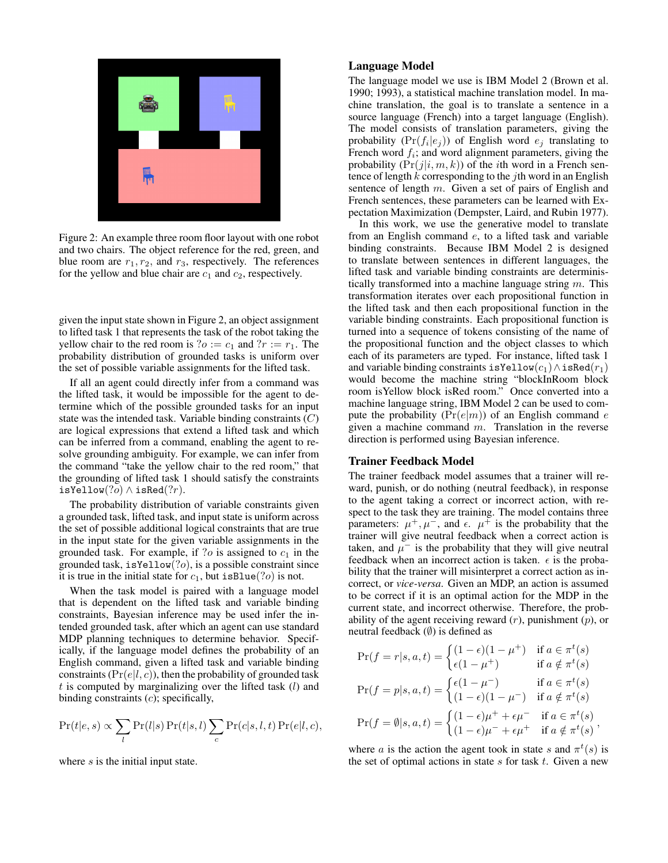

Figure 2: An example three room floor layout with one robot and two chairs. The object reference for the red, green, and blue room are  $r_1, r_2$ , and  $r_3$ , respectively. The references for the yellow and blue chair are  $c_1$  and  $c_2$ , respectively.

given the input state shown in Figure 2, an object assignment to lifted task 1 that represents the task of the robot taking the yellow chair to the red room is  $?o := c_1$  and  $?r := r_1$ . The probability distribution of grounded tasks is uniform over the set of possible variable assignments for the lifted task.

If all an agent could directly infer from a command was the lifted task, it would be impossible for the agent to determine which of the possible grounded tasks for an input state was the intended task. Variable binding constraints  $(C)$ are logical expressions that extend a lifted task and which can be inferred from a command, enabling the agent to resolve grounding ambiguity. For example, we can infer from the command "take the yellow chair to the red room," that the grounding of lifted task 1 should satisfy the constraints isYellow $(?o) \wedge$  isRed $(?r)$ .

The probability distribution of variable constraints given a grounded task, lifted task, and input state is uniform across the set of possible additional logical constraints that are true in the input state for the given variable assignments in the grounded task. For example, if  $?o$  is assigned to  $c_1$  in the grounded task,  $isYellow(?o)$ , is a possible constraint since it is true in the initial state for  $c_1$ , but isBlue(?o) is not.

When the task model is paired with a language model that is dependent on the lifted task and variable binding constraints, Bayesian inference may be used infer the intended grounded task, after which an agent can use standard MDP planning techniques to determine behavior. Specifically, if the language model defines the probability of an English command, given a lifted task and variable binding constraints ( $Pr(e|l, c)$ ), then the probability of grounded task  $t$  is computed by marginalizing over the lifted task  $(l)$  and binding constraints  $(c)$ ; specifically,

$$
Pr(t|e, s) \propto \sum_{l} Pr(l|s) Pr(t|s, l) \sum_{c} Pr(c|s, l, t) Pr(e|l, c),
$$

where s is the initial input state.

# Language Model

The language model we use is IBM Model 2 (Brown et al. 1990; 1993), a statistical machine translation model. In machine translation, the goal is to translate a sentence in a source language (French) into a target language (English). The model consists of translation parameters, giving the probability  $(\Pr(f_i|e_j))$  of English word  $e_j$  translating to French word  $f_i$ ; and word alignment parameters, giving the probability  $(Pr(j|i, m, k))$  of the *i*th word in a French sentence of length  $k$  corresponding to the *j*th word in an English sentence of length  $m$ . Given a set of pairs of English and French sentences, these parameters can be learned with Expectation Maximization (Dempster, Laird, and Rubin 1977).

In this work, we use the generative model to translate from an English command e, to a lifted task and variable binding constraints. Because IBM Model 2 is designed to translate between sentences in different languages, the lifted task and variable binding constraints are deterministically transformed into a machine language string  $m$ . This transformation iterates over each propositional function in the lifted task and then each propositional function in the variable binding constraints. Each propositional function is turned into a sequence of tokens consisting of the name of the propositional function and the object classes to which each of its parameters are typed. For instance, lifted task 1 and variable binding constraints isYellow $(c_1) \wedge$  isRed $(r_1)$ would become the machine string "blockInRoom block room isYellow block isRed room." Once converted into a machine language string, IBM Model 2 can be used to compute the probability  $(Pr(e|m))$  of an English command e given a machine command  $m$ . Translation in the reverse direction is performed using Bayesian inference.

#### Trainer Feedback Model

The trainer feedback model assumes that a trainer will reward, punish, or do nothing (neutral feedback), in response to the agent taking a correct or incorrect action, with respect to the task they are training. The model contains three parameters:  $\mu^+, \mu^-,$  and  $\epsilon$ .  $\mu^+$  is the probability that the trainer will give neutral feedback when a correct action is taken, and  $\mu^{-}$  is the probability that they will give neutral feedback when an incorrect action is taken.  $\epsilon$  is the probability that the trainer will misinterpret a correct action as incorrect, or *vice-versa*. Given an MDP, an action is assumed to be correct if it is an optimal action for the MDP in the current state, and incorrect otherwise. Therefore, the probability of the agent receiving reward  $(r)$ , punishment  $(p)$ , or neutral feedback  $(\emptyset)$  is defined as

$$
\Pr(f = r | s, a, t) = \begin{cases} (1 - \epsilon)(1 - \mu^{+}) & \text{if } a \in \pi^{t}(s) \\ \epsilon(1 - \mu^{+}) & \text{if } a \notin \pi^{t}(s) \end{cases}
$$

$$
\Pr(f = p | s, a, t) = \begin{cases} \epsilon(1 - \mu^{-}) & \text{if } a \in \pi^{t}(s) \\ (1 - \epsilon)(1 - \mu^{-}) & \text{if } a \notin \pi^{t}(s) \end{cases}
$$

$$
\Pr(f = \emptyset | s, a, t) = \begin{cases} (1 - \epsilon)\mu^{+} + \epsilon\mu^{-} & \text{if } a \in \pi^{t}(s) \\ (1 - \epsilon)\mu^{-} + \epsilon\mu^{+} & \text{if } a \notin \pi^{t}(s) \end{cases},
$$

where a is the action the agent took in state s and  $\pi^t(s)$  is the set of optimal actions in state  $s$  for task  $t$ . Given a new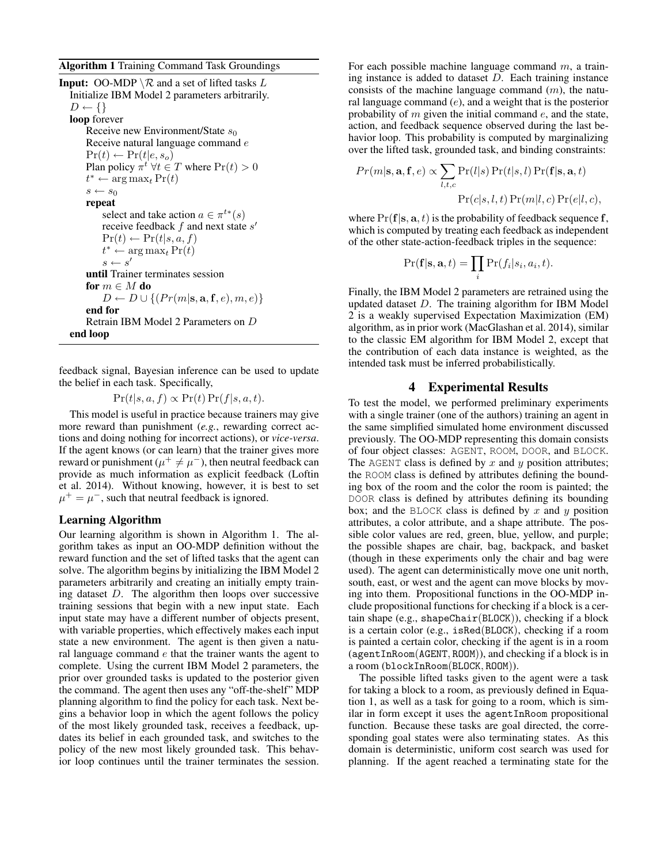Algorithm 1 Training Command Task Groundings

**Input:** OO-MDP  $\setminus \mathcal{R}$  and a set of lifted tasks L Initialize IBM Model 2 parameters arbitrarily.  $D \leftarrow \{\}$ loop forever Receive new Environment/State  $s_0$ Receive natural language command e  $Pr(t) \leftarrow Pr(t|e, s_o)$ Plan policy  $\pi^t \forall t \in T$  where  $Pr(t) > 0$  $t^* \leftarrow \arg \max_t \Pr(t)$  $s \leftarrow s_0$ repeat select and take action  $a \in \pi^{t*}(s)$ receive feedback  $f$  and next state  $s'$  $Pr(t) \leftarrow Pr(t|s, a, f)$  $t^* \leftarrow \argmax_t \Pr(t)$  $s \leftarrow s'$ until Trainer terminates session for  $m \in M$  do  $D \leftarrow D \cup \{ (Pr(m|\mathbf{s}, \mathbf{a}, \mathbf{f}, e), m, e) \}$ end for Retrain IBM Model 2 Parameters on D end loop

feedback signal, Bayesian inference can be used to update the belief in each task. Specifically,

 $Pr(t|s, a, f) \propto Pr(t) Pr(f|s, a, t).$ 

This model is useful in practice because trainers may give more reward than punishment (*e.g.*, rewarding correct actions and doing nothing for incorrect actions), or *vice-versa*. If the agent knows (or can learn) that the trainer gives more reward or punishment ( $\mu^+ \neq \mu^-$ ), then neutral feedback can provide as much information as explicit feedback (Loftin et al. 2014). Without knowing, however, it is best to set  $\mu^+ = \mu^-$ , such that neutral feedback is ignored.

# Learning Algorithm

Our learning algorithm is shown in Algorithm 1. The algorithm takes as input an OO-MDP definition without the reward function and the set of lifted tasks that the agent can solve. The algorithm begins by initializing the IBM Model 2 parameters arbitrarily and creating an initially empty training dataset D. The algorithm then loops over successive training sessions that begin with a new input state. Each input state may have a different number of objects present, with variable properties, which effectively makes each input state a new environment. The agent is then given a natural language command  $e$  that the trainer wants the agent to complete. Using the current IBM Model 2 parameters, the prior over grounded tasks is updated to the posterior given the command. The agent then uses any "off-the-shelf" MDP planning algorithm to find the policy for each task. Next begins a behavior loop in which the agent follows the policy of the most likely grounded task, receives a feedback, updates its belief in each grounded task, and switches to the policy of the new most likely grounded task. This behavior loop continues until the trainer terminates the session.

For each possible machine language command  $m$ , a training instance is added to dataset  $D$ . Each training instance consists of the machine language command  $(m)$ , the natural language command  $(e)$ , and a weight that is the posterior probability of  $m$  given the initial command  $e$ , and the state, action, and feedback sequence observed during the last behavior loop. This probability is computed by marginalizing over the lifted task, grounded task, and binding constraints:

$$
Pr(m|\mathbf{s}, \mathbf{a}, \mathbf{f}, e) \propto \sum_{l,t,c} Pr(l|s) Pr(t|s, l) Pr(\mathbf{f}|\mathbf{s}, \mathbf{a}, t)
$$

$$
Pr(c|s, l, t) Pr(m|l, c) Pr(e|l, c),
$$

where  $Pr(f|s, a, t)$  is the probability of feedback sequence f, which is computed by treating each feedback as independent of the other state-action-feedback triples in the sequence:

$$
\Pr(\mathbf{f}|\mathbf{s}, \mathbf{a}, t) = \prod_i \Pr(f_i|s_i, a_i, t).
$$

Finally, the IBM Model 2 parameters are retrained using the updated dataset D. The training algorithm for IBM Model 2 is a weakly supervised Expectation Maximization (EM) algorithm, as in prior work (MacGlashan et al. 2014), similar to the classic EM algorithm for IBM Model 2, except that the contribution of each data instance is weighted, as the intended task must be inferred probabilistically.

# 4 Experimental Results

To test the model, we performed preliminary experiments with a single trainer (one of the authors) training an agent in the same simplified simulated home environment discussed previously. The OO-MDP representing this domain consists of four object classes: AGENT, ROOM, DOOR, and BLOCK. The AGENT class is defined by  $x$  and  $y$  position attributes; the ROOM class is defined by attributes defining the bounding box of the room and the color the room is painted; the DOOR class is defined by attributes defining its bounding box; and the BLOCK class is defined by x and y position attributes, a color attribute, and a shape attribute. The possible color values are red, green, blue, yellow, and purple; the possible shapes are chair, bag, backpack, and basket (though in these experiments only the chair and bag were used). The agent can deterministically move one unit north, south, east, or west and the agent can move blocks by moving into them. Propositional functions in the OO-MDP include propositional functions for checking if a block is a certain shape (e.g., shapeChair(BLOCK)), checking if a block is a certain color (e.g., isRed(BLOCK), checking if a room is painted a certain color, checking if the agent is in a room (agentInRoom(AGENT, ROOM)), and checking if a block is in a room (blockInRoom(BLOCK, ROOM)).

The possible lifted tasks given to the agent were a task for taking a block to a room, as previously defined in Equation 1, as well as a task for going to a room, which is similar in form except it uses the agentInRoom propositional function. Because these tasks are goal directed, the corresponding goal states were also terminating states. As this domain is deterministic, uniform cost search was used for planning. If the agent reached a terminating state for the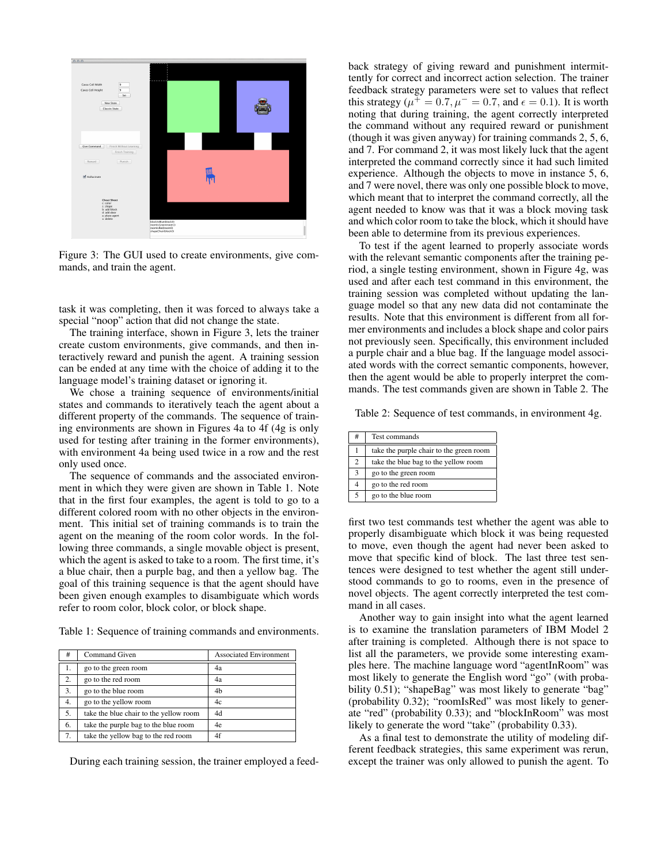

Figure 3: The GUI used to create environments, give commands, and train the agent.

task it was completing, then it was forced to always take a special "noop" action that did not change the state.

The training interface, shown in Figure 3, lets the trainer create custom environments, give commands, and then interactively reward and punish the agent. A training session can be ended at any time with the choice of adding it to the language model's training dataset or ignoring it.

We chose a training sequence of environments/initial states and commands to iteratively teach the agent about a different property of the commands. The sequence of training environments are shown in Figures 4a to 4f (4g is only used for testing after training in the former environments), with environment 4a being used twice in a row and the rest only used once.

The sequence of commands and the associated environment in which they were given are shown in Table 1. Note that in the first four examples, the agent is told to go to a different colored room with no other objects in the environment. This initial set of training commands is to train the agent on the meaning of the room color words. In the following three commands, a single movable object is present, which the agent is asked to take to a room. The first time, it's a blue chair, then a purple bag, and then a yellow bag. The goal of this training sequence is that the agent should have been given enough examples to disambiguate which words refer to room color, block color, or block shape.

Table 1: Sequence of training commands and environments.

| #  | Command Given                          | <b>Associated Environment</b> |
|----|----------------------------------------|-------------------------------|
| 1. | go to the green room                   | 4a                            |
| 2. | go to the red room                     | 4a                            |
| 3. | go to the blue room                    | 4b                            |
| 4. | go to the yellow room                  | 4c                            |
| 5. | take the blue chair to the yellow room | 4d                            |
| 6. | take the purple bag to the blue room   | 4e                            |
| 7. | take the yellow bag to the red room    | 4f                            |

During each training session, the trainer employed a feed-

back strategy of giving reward and punishment intermittently for correct and incorrect action selection. The trainer feedback strategy parameters were set to values that reflect this strategy ( $\mu^+ = 0.7$ ,  $\mu^- = 0.7$ , and  $\epsilon = 0.1$ ). It is worth noting that during training, the agent correctly interpreted the command without any required reward or punishment (though it was given anyway) for training commands 2, 5, 6, and 7. For command 2, it was most likely luck that the agent interpreted the command correctly since it had such limited experience. Although the objects to move in instance 5, 6, and 7 were novel, there was only one possible block to move, which meant that to interpret the command correctly, all the agent needed to know was that it was a block moving task and which color room to take the block, which it should have been able to determine from its previous experiences.

To test if the agent learned to properly associate words with the relevant semantic components after the training period, a single testing environment, shown in Figure 4g, was used and after each test command in this environment, the training session was completed without updating the language model so that any new data did not contaminate the results. Note that this environment is different from all former environments and includes a block shape and color pairs not previously seen. Specifically, this environment included a purple chair and a blue bag. If the language model associated words with the correct semantic components, however, then the agent would be able to properly interpret the commands. The test commands given are shown in Table 2. The

Table 2: Sequence of test commands, in environment 4g.

| #              | Test commands                           |
|----------------|-----------------------------------------|
|                | take the purple chair to the green room |
| $\mathfrak{D}$ | take the blue bag to the yellow room    |
| 3              | go to the green room                    |
|                | go to the red room                      |
| 5              | go to the blue room                     |

first two test commands test whether the agent was able to properly disambiguate which block it was being requested to move, even though the agent had never been asked to move that specific kind of block. The last three test sentences were designed to test whether the agent still understood commands to go to rooms, even in the presence of novel objects. The agent correctly interpreted the test command in all cases.

Another way to gain insight into what the agent learned is to examine the translation parameters of IBM Model 2 after training is completed. Although there is not space to list all the parameters, we provide some interesting examples here. The machine language word "agentInRoom" was most likely to generate the English word "go" (with probability 0.51); "shapeBag" was most likely to generate "bag" (probability 0.32); "roomIsRed" was most likely to generate "red" (probability 0.33); and "blockInRoom" was most likely to generate the word "take" (probability 0.33).

As a final test to demonstrate the utility of modeling different feedback strategies, this same experiment was rerun, except the trainer was only allowed to punish the agent. To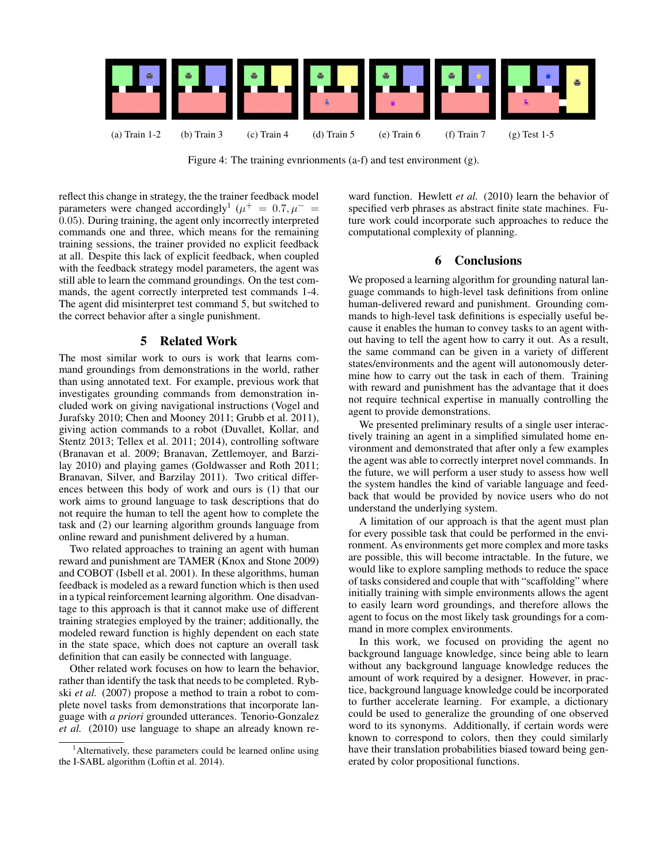

Figure 4: The training evnrionments (a-f) and test environment (g).

reflect this change in strategy, the the trainer feedback model parameters were changed accordingly<sup>1</sup> ( $\mu$ <sup>+</sup> = 0.7,  $\mu$ <sup>-</sup> = 0.05). During training, the agent only incorrectly interpreted commands one and three, which means for the remaining training sessions, the trainer provided no explicit feedback at all. Despite this lack of explicit feedback, when coupled with the feedback strategy model parameters, the agent was still able to learn the command groundings. On the test commands, the agent correctly interpreted test commands 1-4. The agent did misinterpret test command 5, but switched to the correct behavior after a single punishment.

# 5 Related Work

The most similar work to ours is work that learns command groundings from demonstrations in the world, rather than using annotated text. For example, previous work that investigates grounding commands from demonstration included work on giving navigational instructions (Vogel and Jurafsky 2010; Chen and Mooney 2011; Grubb et al. 2011), giving action commands to a robot (Duvallet, Kollar, and Stentz 2013; Tellex et al. 2011; 2014), controlling software (Branavan et al. 2009; Branavan, Zettlemoyer, and Barzilay 2010) and playing games (Goldwasser and Roth 2011; Branavan, Silver, and Barzilay 2011). Two critical differences between this body of work and ours is (1) that our work aims to ground language to task descriptions that do not require the human to tell the agent how to complete the task and (2) our learning algorithm grounds language from online reward and punishment delivered by a human.

Two related approaches to training an agent with human reward and punishment are TAMER (Knox and Stone 2009) and COBOT (Isbell et al. 2001). In these algorithms, human feedback is modeled as a reward function which is then used in a typical reinforcement learning algorithm. One disadvantage to this approach is that it cannot make use of different training strategies employed by the trainer; additionally, the modeled reward function is highly dependent on each state in the state space, which does not capture an overall task definition that can easily be connected with language.

Other related work focuses on how to learn the behavior, rather than identify the task that needs to be completed. Rybski *et al.* (2007) propose a method to train a robot to complete novel tasks from demonstrations that incorporate language with *a priori* grounded utterances. Tenorio-Gonzalez *et al.* (2010) use language to shape an already known re-

ward function. Hewlett *et al.* (2010) learn the behavior of specified verb phrases as abstract finite state machines. Future work could incorporate such approaches to reduce the computational complexity of planning.

# 6 Conclusions

We proposed a learning algorithm for grounding natural language commands to high-level task definitions from online human-delivered reward and punishment. Grounding commands to high-level task definitions is especially useful because it enables the human to convey tasks to an agent without having to tell the agent how to carry it out. As a result, the same command can be given in a variety of different states/environments and the agent will autonomously determine how to carry out the task in each of them. Training with reward and punishment has the advantage that it does not require technical expertise in manually controlling the agent to provide demonstrations.

We presented preliminary results of a single user interactively training an agent in a simplified simulated home environment and demonstrated that after only a few examples the agent was able to correctly interpret novel commands. In the future, we will perform a user study to assess how well the system handles the kind of variable language and feedback that would be provided by novice users who do not understand the underlying system.

A limitation of our approach is that the agent must plan for every possible task that could be performed in the environment. As environments get more complex and more tasks are possible, this will become intractable. In the future, we would like to explore sampling methods to reduce the space of tasks considered and couple that with "scaffolding" where initially training with simple environments allows the agent to easily learn word groundings, and therefore allows the agent to focus on the most likely task groundings for a command in more complex environments.

In this work, we focused on providing the agent no background language knowledge, since being able to learn without any background language knowledge reduces the amount of work required by a designer. However, in practice, background language knowledge could be incorporated to further accelerate learning. For example, a dictionary could be used to generalize the grounding of one observed word to its synonyms. Additionally, if certain words were known to correspond to colors, then they could similarly have their translation probabilities biased toward being generated by color propositional functions.

<sup>&</sup>lt;sup>1</sup>Alternatively, these parameters could be learned online using the I-SABL algorithm (Loftin et al. 2014).